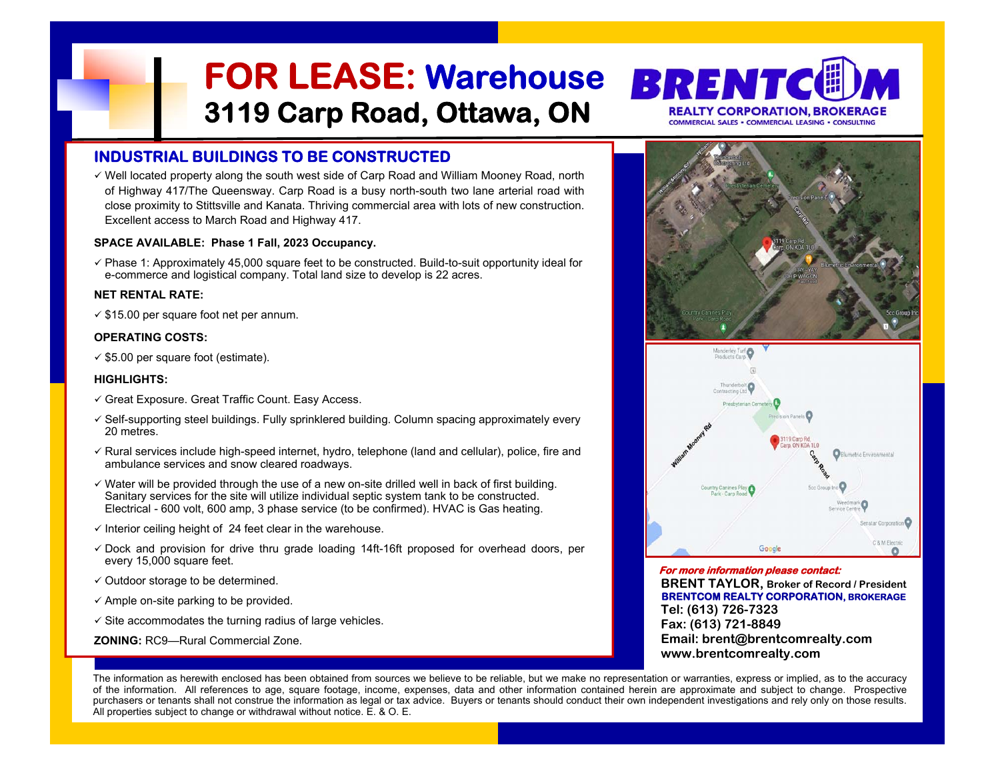- 
- 
- 
- 
- 
- 
- 
- 
- 



The information as herewith enclosed has been obtained from sources we believe to be reliable, but we make no representation or warranties, express or implied, as to the accuracy of the information. All references to age, square footage, income, expenses, data and other information contained herein are approximate and subject to change. Prospective purchasers or tenants shall not construe the information as legal or tax advice. Buyers or tenants should conduct their own independent investigations and rely only on those results.<br>All properties subject to change or wit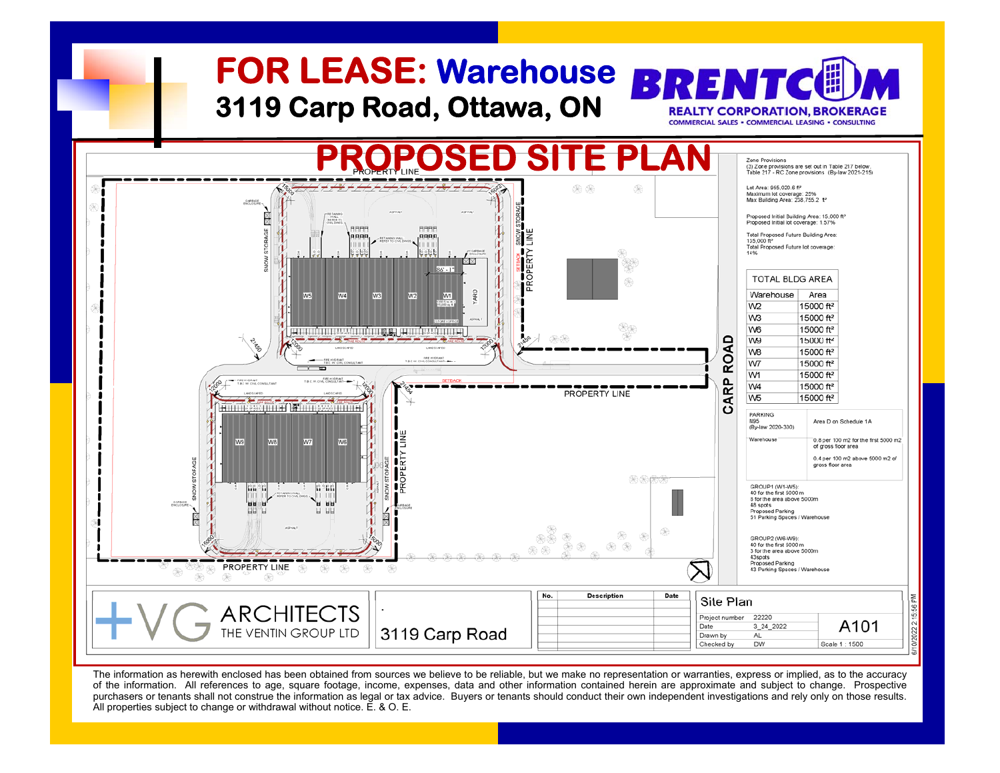

The information as herewith enclosed has been obtained from sources we believe to be reliable, but we make no representation or warranties, express or implied, as to the accuracy of the information. All references to age, square footage, income, expenses, data and other information contained herein are approximate and subject to change. Prospective purchasers or tenants shall not construe the information as legal or tax advice. Buyers or tenants should conduct their own independent investigations and rely only on those results.<br>All properties subject to change or wit